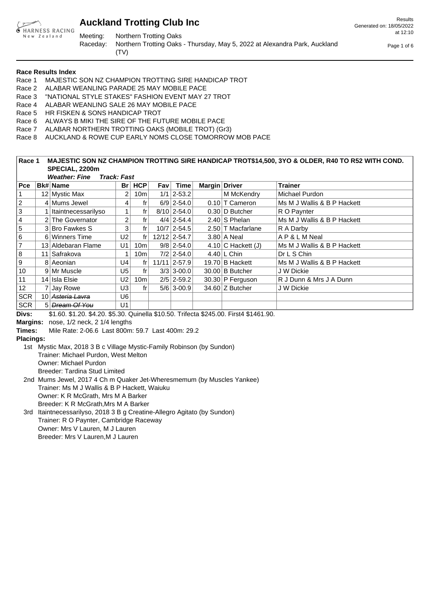

Meeting: Northern Trotting Oaks

Raceday: Northern Trotting Oaks - Thursday, May 5, 2022 at Alexandra Park, Auckland (TV)

Results Generated on: 18/05/2022 at 12:10

Page 1 of 6

**Race Results Index**

- Race 1 MAJESTIC SON NZ CHAMPION TROTTING SIRE HANDICAP TROT
- Race 2 ALABAR WEANLING PARADE 25 MAY MOBILE PACE
- Race 3 "NATIONAL STYLE STAKES" FASHION EVENT MAY 27 TROT
- Race 4 ALABAR WEANLING SALE 26 MAY MOBILE PACE
- Race 5 HR FISKEN & SONS HANDICAP TROT
- Race 6 ALWAYS B MIKI THE SIRE OF THE FUTURE MOBILE PACE
- Race 7 ALABAR NORTHERN TROTTING OAKS (MOBILE TROT) (Gr3)
- Race 8 AUCKLAND & ROWE CUP EARLY NOMS CLOSE TOMORROW MOB PACE

### **Race 1 MAJESTIC SON NZ CHAMPION TROTTING SIRE HANDICAP TROT\$14,500, 3YO & OLDER, R40 TO R52 WITH COND. SPECIAL, 2200m**

|                |    | <b>Weather: Fine</b>        | <b>Track: Fast</b> |                 |       |                 |               |                      |                             |  |  |  |  |  |  |  |
|----------------|----|-----------------------------|--------------------|-----------------|-------|-----------------|---------------|----------------------|-----------------------------|--|--|--|--|--|--|--|
| $ $ Pce        |    | ∣Bk# Name                   | Br                 | HCP             | Fav l | <b>Time</b>     | Margin Driver |                      | <b>Trainer</b>              |  |  |  |  |  |  |  |
| l 1            |    | 12 Mystic Max               | 2                  | 10m             |       | $1/1$   2-53.2  |               | M McKendry           | Michael Purdon              |  |  |  |  |  |  |  |
| $ 2\rangle$    |    | 4 Mums Jewel                | 4                  | fr              |       | $6/9$   2-54.0  |               | $0.10$ T Cameron     | Ms M J Wallis & B P Hackett |  |  |  |  |  |  |  |
| 3              |    | Itaintnecessarilyso         |                    | fr              |       | $8/10$   2-54.0 |               | $0.30 D$ Butcher     | R O Paynter                 |  |  |  |  |  |  |  |
| 4              |    | The Governator              | $\overline{2}$     | fr              |       | $4/4$   2-54.4  |               | $2.40$ S Phelan      | Ms M J Wallis & B P Hackett |  |  |  |  |  |  |  |
| $\overline{5}$ |    | 3 Bro Fawkes S              | 3                  | fr              |       | $10/7$   2-54.5 |               | 2.50 T Macfarlane    | R A Darby                   |  |  |  |  |  |  |  |
| 6              |    | 6 Winners Time              | U <sub>2</sub>     | f <sub>r</sub>  |       | 12/12 2-54.7    |               | $3.80$ A Neal        | AP&LMNeal                   |  |  |  |  |  |  |  |
| 7              |    | 13 Aldebaran Flame          | U <sub>1</sub>     | 10m             |       | $9/8$   2-54.0  |               | 4.10 $C$ Hackett (J) | Ms M J Wallis & B P Hackett |  |  |  |  |  |  |  |
| 8              | 11 | Safrakova                   |                    | 10m             |       | $7/2$   2-54.0  |               | $4.40$ L Chin        | Dr L S Chin                 |  |  |  |  |  |  |  |
| 9              |    | 8 Aeonian                   | U4                 | f <sub>r</sub>  |       | 11/11 2-57.9    |               | 19.70 B Hackett      | Ms M J Wallis & B P Hackett |  |  |  |  |  |  |  |
| 10             |    | 9 Mr Muscle                 | U5                 | frl             |       | $3/3$ 3-00.0    |               | $30.00$ B Butcher    | J W Dickie                  |  |  |  |  |  |  |  |
| 11             |    | 14 Isla Elsie               | U2                 | 10 <sub>m</sub> |       | $2/5$   2-59.2  |               | 30.30 P Ferguson     | R J Dunn & Mrs J A Dunn     |  |  |  |  |  |  |  |
| 12             |    | Jay Rowe                    | U3                 | fr              |       | $5/6$ 3-00.9    |               | 34.60 $Z$ Butcher    | J W Dickie                  |  |  |  |  |  |  |  |
| SCR            |    | 10 <del>Asteria Lavra</del> | U6                 |                 |       |                 |               |                      |                             |  |  |  |  |  |  |  |
| SCR            |    | 5 Dream Of You              | U1                 |                 |       |                 |               |                      |                             |  |  |  |  |  |  |  |

**Divs:** \$1.60. \$1.20. \$4.20. \$5.30. Quinella \$10.50. Trifecta \$245.00. First4 \$1461.90.

**Margins:** nose, 1/2 neck, 2 1/4 lengths

**Times:** Mile Rate: 2-06.6 Last 800m: 59.7 Last 400m: 29.2

### **Placings:**

1st Mystic Max, 2018 3 B c Village Mystic-Family Robinson (by Sundon) Trainer: Michael Purdon, West Melton Owner: Michael Purdon Breeder: Tardina Stud Limited 2nd Mums Jewel, 2017 4 Ch m Quaker Jet-Wheresmemum (by Muscles Yankee) Trainer: Ms M J Wallis & B P Hackett, Waiuku Owner: K R McGrath, Mrs M A Barker

Breeder: K R McGrath,Mrs M A Barker

3rd Itaintnecessarilyso, 2018 3 B g Creatine-Allegro Agitato (by Sundon) Trainer: R O Paynter, Cambridge Raceway Owner: Mrs V Lauren, M J Lauren Breeder: Mrs V Lauren,M J Lauren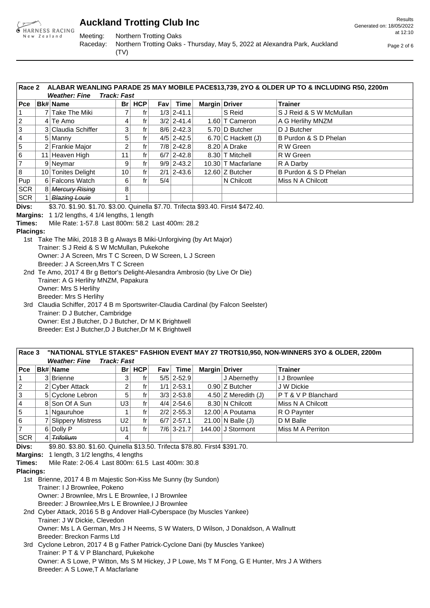

Meeting: Northern Trotting Oaks

Raceday: Northern Trotting Oaks - Thursday, May 5, 2022 at Alexandra Park, Auckland (TV)

Page 2 of 6

|       | Race 2 ALABAR WEANLING PARADE 25 MAY MOBILE PACE\$13,739, 2YO & OLDER UP TO & INCLUDING R50, 2200m R |                                    |  |  |         |  |            |               |  |                |  |
|-------|------------------------------------------------------------------------------------------------------|------------------------------------|--|--|---------|--|------------|---------------|--|----------------|--|
|       |                                                                                                      | <b>Weather: Fine   Track: Fast</b> |  |  |         |  |            |               |  |                |  |
| ∣ Pce |                                                                                                      | ∣Bk#∣Name                          |  |  | Br  HCP |  | $Fav$ Time | Margin Driver |  | <b>Trainer</b> |  |

| гuе.       | $D$ M $t$ Nalie      |                 | ы пог | гаv і | .              | N X |                      | панег                   |
|------------|----------------------|-----------------|-------|-------|----------------|-----|----------------------|-------------------------|
|            | 7   Take The Miki    |                 |       |       | $1/3$   2-41.1 |     | S Reid               | S J Reid & S W McMullan |
| 2          | $4$ Te Amo           |                 |       |       | $3/2$   2-41.4 |     | 1.60 T Cameron       | A G Herlihy MNZM        |
| 13         | 3 Claudia Schiffer   | 3               | fr    |       | $8/6$   2-42.3 |     | 5.70 D Butcher       | D J Butcher             |
| 14         | 5 Manny              | 5               | tr    |       | $4/5$   2-42.5 |     | 6.70 $C$ Hackett (J) | B Purdon & S D Phelan   |
| 15         | 2 Frankie Major      | 2               | fr    |       | $7/8$   2-42.8 |     | 8.20 A Drake         | R W Green               |
| 16         | Heaven High          | 11              | fr    |       | $6/7$   2-42.8 |     | 8.30 T Mitchell      | R W Green               |
|            | 9 Neymar             | 9               |       |       | $9/9$   2-43.2 |     | 10.30 T Macfarlane   | R A Darby               |
| 18         | 10 Tonites Delight   | 10 <sub>1</sub> | fr    |       | $2/1$   2-43.6 |     | 12.60 Z Butcher      | B Purdon & S D Phelan   |
| Pup        | 6 Falcons Watch      | 6               | fr    | 5/4   |                |     | N Chilcott           | Miss N A Chilcott       |
| <b>SCR</b> | 8 Mercury Rising     | 8               |       |       |                |     |                      |                         |
| SCR        | <b>Blazing Louie</b> |                 |       |       |                |     |                      |                         |

**Divs:** \$3.70. \$1.90. \$1.70. \$3.00. Quinella \$7.70. Trifecta \$93.40. First4 \$472.40.

**Margins:** 1 1/2 lengths, 4 1/4 lengths, 1 length

**Times:** Mile Rate: 1-57.8 Last 800m: 58.2 Last 400m: 28.2

**Placings:**

1st Take The Miki, 2018 3 B g Always B Miki-Unforgiving (by Art Major) Trainer: S J Reid & S W McMullan, Pukekohe Owner: J A Screen, Mrs T C Screen, D W Screen, L J Screen Breeder: J A Screen,Mrs T C Screen 2nd Te Amo, 2017 4 Br g Bettor's Delight-Alesandra Ambrosio (by Live Or Die) Trainer: A G Herlihy MNZM, Papakura Owner: Mrs S Herlihy

Breeder: Mrs S Herlihy

3rd Claudia Schiffer, 2017 4 B m Sportswriter-Claudia Cardinal (by Falcon Seelster) Trainer: D J Butcher, Cambridge Owner: Est J Butcher, D J Butcher, Dr M K Brightwell Breeder: Est J Butcher,D J Butcher,Dr M K Brightwell

#### **Race 3 "NATIONAL STYLE STAKES" FASHION EVENT MAY 27 TROT\$10,950, NON-WINNERS 3YO & OLDER, 2200m Weather: Fine Track: Fast**

|             | ,, , ,, ,, , , , , , , , , , , |                      |                |          |  |                |               |                             |                           |  |  |  |  |  |
|-------------|--------------------------------|----------------------|----------------|----------|--|----------------|---------------|-----------------------------|---------------------------|--|--|--|--|--|
| $ $ Pce     |                                | ∣Bk# Name            |                | $Br$ HCP |  | Fav Time       | Margin Driver |                             | <b>Trainer</b>            |  |  |  |  |  |
|             |                                | 3 Brienne            |                |          |  | $5/5$   2-52.9 |               | J Abernethy                 | I J Brownlee              |  |  |  |  |  |
| $ 2\rangle$ |                                | 2 Cyber Attack       |                | tr       |  | $1/1$   2-53.1 |               | $0.90$ Z Butcher            | J W Dickie                |  |  |  |  |  |
| 3           |                                | 5 Cyclone Lebron     | 5              | fr       |  | $3/3$   2-53.8 |               | 4.50 $Z$ Meredith (J)       | <b>PT&amp;VPBlanchard</b> |  |  |  |  |  |
| 14          |                                | 8 Son Of A Sun       | U3             | fr       |  | $4/4$   2-54.6 |               | 8.30 N Chilcott             | Miss N A Chilcott         |  |  |  |  |  |
| 5           |                                | 1 Ngauruhoe          |                | fr       |  | $2/2$   2-55.3 |               | 12.00 A Poutama             | R O Paynter               |  |  |  |  |  |
| 6           |                                | 7 Slippery Mistress  | U <sub>2</sub> | fr       |  | $6/7$   2-57.1 |               | $21.00 \text{ N}$ Balle (J) | D M Balle                 |  |  |  |  |  |
| 17          |                                | 6 Dolly P            | U1             | fr       |  | $7/6$ 3-21.7   |               | 144.00 J Stormont           | Miss M A Perriton         |  |  |  |  |  |
| SCR         |                                | <del>Trifolium</del> | 4              |          |  |                |               |                             |                           |  |  |  |  |  |
|             |                                |                      |                |          |  |                |               |                             |                           |  |  |  |  |  |

**Divs:** \$9.80. \$3.80. \$1.60. Quinella \$13.50. Trifecta \$78.80. First4 \$391.70.

**Margins:** 1 length, 3 1/2 lengths, 4 lengths

**Times:** Mile Rate: 2-06.4 Last 800m: 61.5 Last 400m: 30.8

**Placings:**

1st Brienne, 2017 4 B m Majestic Son-Kiss Me Sunny (by Sundon) Trainer: I J Brownlee, Pokeno

Owner: J Brownlee, Mrs L E Brownlee, I J Brownlee

Breeder: J Brownlee,Mrs L E Brownlee,I J Brownlee

2nd Cyber Attack, 2016 5 B g Andover Hall-Cyberspace (by Muscles Yankee) Trainer: J W Dickie, Clevedon Owner: Ms L A German, Mrs J H Neems, S W Waters, D Wilson, J Donaldson, A Wallnutt Breeder: Breckon Farms Ltd

3rd Cyclone Lebron, 2017 4 B g Father Patrick-Cyclone Dani (by Muscles Yankee) Trainer: P T & V P Blanchard, Pukekohe Owner: A S Lowe, P Witton, Ms S M Hickey, J P Lowe, Ms T M Fong, G E Hunter, Mrs J A Withers Breeder: A S Lowe,T A Macfarlane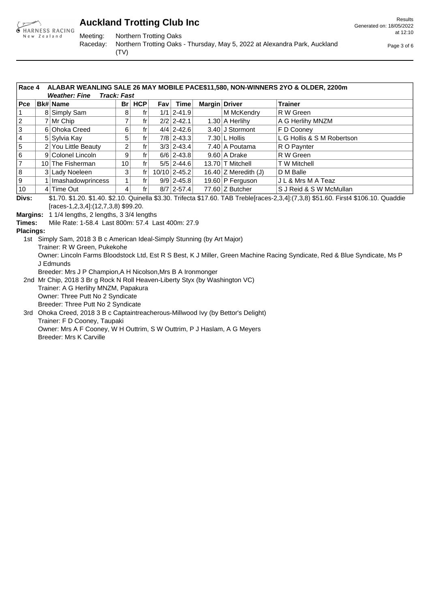

Meeting: Northern Trotting Oaks

Raceday: Northern Trotting Oaks - Thursday, May 5, 2022 at Alexandra Park, Auckland (TV)

Page 3 of 6

|                | ALABAR WEANLING SALE 26 MAY MOBILE PACE\$11,580, NON-WINNERS 2YO & OLDER, 2200m<br>Race 4<br><b>Weather: Fine</b><br><b>Track: Fast</b> |                     |    |     |       |                |               |                        |                            |  |  |  |  |
|----------------|-----------------------------------------------------------------------------------------------------------------------------------------|---------------------|----|-----|-------|----------------|---------------|------------------------|----------------------------|--|--|--|--|
| Pce            |                                                                                                                                         | <b>Bk# Name</b>     | Br | HCP | Fav l | Time           | Margin Driver |                        | <b>Trainer</b>             |  |  |  |  |
|                |                                                                                                                                         | 8 Simply Sam        | 8  |     |       | $1/1$   2-41.9 |               | M McKendry             | R W Green                  |  |  |  |  |
| $\overline{2}$ |                                                                                                                                         | 7 Mr Chip           |    |     |       | $2/2$   2-42.1 |               | $1.30$ A Herlihy       | A G Herlihy MNZM           |  |  |  |  |
| 3              |                                                                                                                                         | 6 Ohoka Creed       | 6  | tr  |       | $4/4$   2-42.6 |               | 3.40 J Stormont        | F D Cooney                 |  |  |  |  |
| 4              |                                                                                                                                         | 5 Sylvia Kay        | 5  |     |       | $7/8$   2-43.3 |               | $7.30$ L Hollis        | L G Hollis & S M Robertson |  |  |  |  |
| 5              |                                                                                                                                         | 2 You Little Beauty | 2  | fr  |       | $3/3$   2-43.4 |               | 7.40 A Poutama         | R O Paynter                |  |  |  |  |
| 6              |                                                                                                                                         | 9 Colonel Lincoln   | 9  | fr  |       | $6/6$   2-43.8 |               | $9.60$ A Drake         | R W Green                  |  |  |  |  |
| $\overline{7}$ |                                                                                                                                         | 10 The Fisherman    | 10 |     |       | $5/5$   2-44.6 |               | 13.70 T Mitchell       | T W Mitchell               |  |  |  |  |
| 8              |                                                                                                                                         | 3 Lady Noeleen      | 3  |     |       | 10/10 2-45.2   |               | 16.40 $Z$ Meredith (J) | D M Balle                  |  |  |  |  |
| 9              |                                                                                                                                         | Imashadowprincess   |    | fr  |       | $9/9$   2-45.8 |               | 19.60 P Ferguson       | J L & Mrs M A Teaz         |  |  |  |  |
| 10             |                                                                                                                                         | 4 Time Out          | 4  | fr  |       | $8/7$   2-57.4 |               | 77.60 $Z$ Butcher      | S J Reid & S W McMullan    |  |  |  |  |

**Divs:** \$1.70. \$1.20. \$1.40. \$2.10. Quinella \$3.30. Trifecta \$17.60. TAB Treble[races-2,3,4]:(7,3,8) \$51.60. First4 \$106.10. Quaddie [races-1,2,3,4]:(12,7,3,8) \$99.20.

**Margins:** 1 1/4 lengths, 2 lengths, 3 3/4 lengths

**Times:** Mile Rate: 1-58.4 Last 800m: 57.4 Last 400m: 27.9

**Placings:**

1st Simply Sam, 2018 3 B c American Ideal-Simply Stunning (by Art Major)

Trainer: R W Green, Pukekohe

Owner: Lincoln Farms Bloodstock Ltd, Est R S Best, K J Miller, Green Machine Racing Syndicate, Red & Blue Syndicate, Ms P J Edmunds

Breeder: Mrs J P Champion,A H Nicolson,Mrs B A Ironmonger

2nd Mr Chip, 2018 3 Br g Rock N Roll Heaven-Liberty Styx (by Washington VC) Trainer: A G Herlihy MNZM, Papakura Owner: Three Putt No 2 Syndicate Breeder: Three Putt No 2 Syndicate 3rd Ohoka Creed, 2018 3 B c Captaintreacherous-Millwood Ivy (by Bettor's Delight)

Trainer: F D Cooney, Taupaki Owner: Mrs A F Cooney, W H Outtrim, S W Outtrim, P J Haslam, A G Meyers Breeder: Mrs K Carville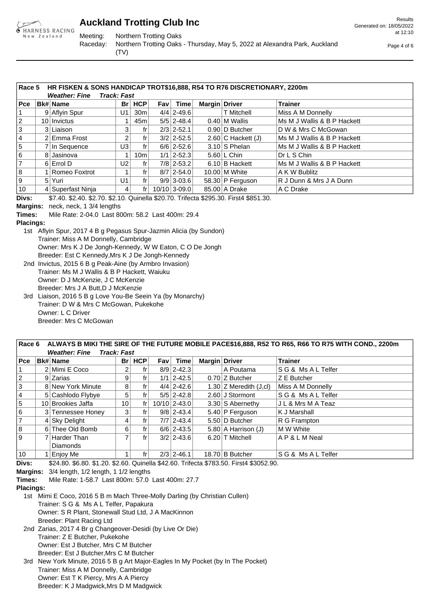

Meeting: Northern Trotting Oaks

Results Generated on: 18/05/2022 at 12:10

Raceday: Northern Trotting Oaks - Thursday, May 5, 2022 at Alexandra Park, Auckland (TV)

Page 4 of 6

|                | Race 5<br>HR FISKEN & SONS HANDICAP TROT\$16,888, R54 TO R76 DISCRETIONARY, 2200m<br><b>Track: Fast</b><br><b>Weather: Fine</b> |                   |      |                 |            |                |               |                         |                              |  |  |  |  |  |
|----------------|---------------------------------------------------------------------------------------------------------------------------------|-------------------|------|-----------------|------------|----------------|---------------|-------------------------|------------------------------|--|--|--|--|--|
| Pce:           |                                                                                                                                 | <b>Bk# Name</b>   | Br l | HCP             | <b>Fav</b> | Time           | Margin Driver |                         | <b>Trainer</b>               |  |  |  |  |  |
|                |                                                                                                                                 | 9 Aflyin Spur     | U1   | 30m             |            | $4/4$   2-49.6 |               | <b>T</b> Mitchell       | Miss A M Donnelly            |  |  |  |  |  |
| $ 2\rangle$    |                                                                                                                                 | $10$ Invictus     |      | 45m             |            | $5/5$   2-48.4 |               | $0.40$ M Wallis         | Ms M J Wallis & B P Hackett  |  |  |  |  |  |
| 3              |                                                                                                                                 | 3 Liaison         | 3    | fr              |            | $2/3$ 2-52.1   |               | 0.90 D Butcher          | ID W & Mrs C McGowan         |  |  |  |  |  |
| 14             |                                                                                                                                 | 2 Emma Frost      | 2    | fr              |            | $3/2$   2-52.5 |               | $2.60$ C Hackett (J)    | Ms M J Wallis & B P Hackett  |  |  |  |  |  |
| 5              |                                                                                                                                 | In Sequence       | U3   | frl             |            | $6/6$   2-52.6 |               | $3.10$ S Phelan         | IMs M J Wallis & B P Hackett |  |  |  |  |  |
| 6              |                                                                                                                                 | 8 Jasinova        |      | 10 <sub>m</sub> |            | $1/1$   2-52.3 |               | $5.60 \, \text{l}$ Chin | Dr L S Chin                  |  |  |  |  |  |
| $\overline{7}$ |                                                                                                                                 | 6 Errol D         | U2   | fr              |            | $7/8$   2-53.2 |               | 6.10 B Hackett          | IMs M J Wallis & B P Hackett |  |  |  |  |  |
| 8              |                                                                                                                                 | Romeo Foxtrot     |      | fr              |            | $8/7$   2-54.0 |               | $10.00$ M White         | A K W Bublitz                |  |  |  |  |  |
| و ا            | 5 <sup>1</sup>                                                                                                                  | Yuri              | U1   | $\mathsf{fr}$   |            | $9/9$   3-03.6 |               | $58.30$ P Ferguson      | R J Dunn & Mrs J A Dunn      |  |  |  |  |  |
| 10             |                                                                                                                                 | 4 Superfast Ninja | 4    | frl             |            | 10/10 3-09.0   |               | 85.00 A Drake           | A C Drake                    |  |  |  |  |  |

**Divs:** \$7.40. \$2.40. \$2.70. \$2.10. Quinella \$20.70. Trifecta \$295.30. First4 \$851.30.

**Margins:** neck, neck, 1 3/4 lengths

**Times:** Mile Rate: 2-04.0 Last 800m: 58.2 Last 400m: 29.4

#### **Placings:**

1st Aflyin Spur, 2017 4 B g Pegasus Spur-Jazmin Alicia (by Sundon) Trainer: Miss A M Donnelly, Cambridge Owner: Mrs K J De Jongh-Kennedy, W W Eaton, C O De Jongh Breeder: Est C Kennedy,Mrs K J De Jongh-Kennedy

2nd Invictus, 2015 6 B g Peak-Aine (by Armbro Invasion) Trainer: Ms M J Wallis & B P Hackett, Waiuku Owner: D J McKenzie, J C McKenzie Breeder: Mrs J A Butt,D J McKenzie 3rd Liaison, 2016 5 B g Love You-Be Seein Ya (by Monarchy)

Trainer: D W & Mrs C McGowan, Pukekohe Owner: L C Driver Breeder: Mrs C McGowan

#### **Race 6 ALWAYS B MIKI THE SIRE OF THE FUTURE MOBILE PACE\$16,888, R52 TO R65, R66 TO R75 WITH COND., 2200m Weather: Fine Track: Fast**

| $ $ Pce        | <b>Bk# Name</b>   | <b>Br</b> | HCP           | Fav | <b>Time</b>    | Margin Driver |                          | <b>Trainer</b>     |
|----------------|-------------------|-----------|---------------|-----|----------------|---------------|--------------------------|--------------------|
|                | 2 Mimi E Coco     |           | fr            |     | $8/9$   2-42.3 |               | A Poutama                | SG & Ms A L Telfer |
| $ 2\rangle$    | 9 Zarias          | 9         |               |     | $1/1$   2-42.5 |               | $0.70$ Z Butcher         | Z E Butcher        |
| 3              | 8 New York Minute | 8         | fr i          |     | $4/4$   2-42.6 |               | 1.30 $Z$ Meredith (J,cl) | Miss A M Donnelly  |
| 14             | 5 Cashlodo Flybye | 5         | fri           |     | $5/5$   2-42.8 |               | 2.60 J Stormont          | SG & Ms A L Telfer |
| 5              | 10 Brookies Jaffa | 10        | $\mathsf{fr}$ |     | $10/10$ 2-43.0 |               | 3.30 S Abernethy         | J L & Mrs M A Teaz |
| 6              | 3 Tennessee Honey | 3         | fr            |     | $9/8$   2-43.4 |               | 5.40 P Ferguson          | K J Marshall_      |
| $\overline{7}$ | $4$ Sky Delight   | 4         | fr            |     | $7/7$   2-43.4 |               | 5.50 D Butcher           | R G Frampton       |
| 8              | 6 Thee Old Bomb   | 6         | frl           |     | $6/6$   2-43.5 |               | $5.80$ A Harrison (J)    | M W White          |
| l 9            | Harder Than       |           | fr            |     | $3/2$   2-43.6 |               | 6.20 T Mitchell          | AP&LMNeal          |
|                | <b>Diamonds</b>   |           |               |     |                |               |                          |                    |
| 10             | Enjoy Me          |           | fr            |     | $2/3$ 2-46.1   |               | 18.70 B Butcher          | SG & Ms A L Telfer |

**Divs:** \$24.80. \$6.80. \$1.20. \$2.60. Quinella \$42.60. Trifecta \$783.50. First4 \$3052.90.

**Margins:** 3/4 length, 1/2 length, 1 1/2 lengths

**Times:** Mile Rate: 1-58.7 Last 800m: 57.0 Last 400m: 27.7

#### **Placings:**

1st Mimi E Coco, 2016 5 B m Mach Three-Molly Darling (by Christian Cullen) Trainer: S G & Ms A L Telfer, Papakura Owner: S R Plant, Stonewall Stud Ltd, J A MacKinnon Breeder: Plant Racing Ltd

2nd Zarias, 2017 4 Br g Changeover-Desidi (by Live Or Die) Trainer: Z E Butcher, Pukekohe Owner: Est J Butcher, Mrs C M Butcher Breeder: Est J Butcher,Mrs C M Butcher

3rd New York Minute, 2016 5 B g Art Major-Eagles In My Pocket (by In The Pocket) Trainer: Miss A M Donnelly, Cambridge Owner: Est T K Piercy, Mrs A A Piercy Breeder: K J Madgwick,Mrs D M Madgwick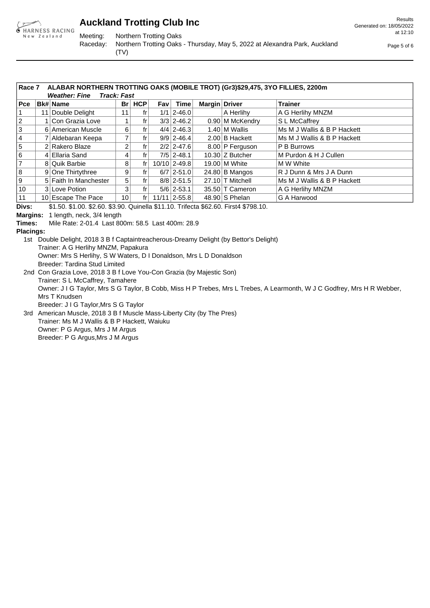

Meeting: Northern Trotting Oaks

(TV)

Raceday: Northern Trotting Oaks - Thursday, May 5, 2022 at Alexandra Park, Auckland

 at 12:10 Page 5 of 6

Generated on: 18/05/2022

Results

**Race 7 ALABAR NORTHERN TROTTING OAKS (MOBILE TROT) (Gr3)\$29,475, 3YO FILLIES, 2200m**

|             |    | <b>Track: Fast</b><br><b>Weather: Fine</b> |      |       |       |                  |               |                             |                              |  |  |  |  |  |  |  |
|-------------|----|--------------------------------------------|------|-------|-------|------------------|---------------|-----------------------------|------------------------------|--|--|--|--|--|--|--|
| $ $ Pce     |    | <b>Bk# Name</b>                            | Br l | HCP   | Fav l | Time│            | Margin Driver |                             | <b>Trainer</b>               |  |  |  |  |  |  |  |
|             | 11 | Double Delight                             |      | fr    |       | $1/1$   2-46.0   |               | A Herlihy                   | A G Herlihy MNZM             |  |  |  |  |  |  |  |
| $ 2\rangle$ |    | Con Grazia Love                            |      | fr    |       | $3/3$   2-46.2   |               | 0.90 M McKendry             | S L McCaffrey                |  |  |  |  |  |  |  |
| 3           |    | 6 American Muscle                          | 6    | fr    |       | $4/4$   2-46.3   |               | $1.40 \, \text{l}$ M Wallis | Ms M J Wallis & B P Hackett  |  |  |  |  |  |  |  |
| 14          |    | Aldebaran Keepa                            |      | fr    |       | $9/9$   2-46.4   |               | $2.00$ B Hackett            | IMs M J Wallis & B P Hackett |  |  |  |  |  |  |  |
| 5           |    | 2 Rakero Blaze                             | 2    | fr    |       | $2/2$   2-47.6   |               | 8.00 P Ferguson             | <b>P B Burrows</b>           |  |  |  |  |  |  |  |
| 16          |    | Ellaria Sand                               | 4    | fr    |       | $7/5$ 2-48.1     |               | $10.30$ Z Butcher           | IM Purdon & H J Cullen       |  |  |  |  |  |  |  |
| 17          |    | 8 Quik Barbie                              | 8    | fr    |       | $10/10$ 2-49.8   |               | $19.00 \, \text{M}$ White   | IM W White                   |  |  |  |  |  |  |  |
| 18          |    | 9 One Thirtythree                          | 9    | fr    |       | $6/7$   2-51.0   |               | $24.80 B$ Mangos            | R J Dunn & Mrs J A Dunn      |  |  |  |  |  |  |  |
| 19          |    | 5 Faith In Manchester                      | 5    | fr    |       | $8/8$   2-51.5   |               | 27.10 T Mitchell            | IMs M J Wallis & B P Hackett |  |  |  |  |  |  |  |
| 10          |    | 3 Love Potion                              | 3    | fr    |       | $5/6$   2-53.1   |               | 35.50 T Cameron             | A G Herlihy MNZM             |  |  |  |  |  |  |  |
| 11          |    | 10 Escape The Pace                         | 10   | $f$ r |       | $11/11$   2-55.8 |               | $48.90$ S Phelan            | G A Harwood                  |  |  |  |  |  |  |  |

**Divs:** \$1.50. \$1.00. \$2.60. \$3.90. Quinella \$11.10. Trifecta \$62.60. First4 \$798.10.

**Margins:** 1 length, neck, 3/4 length

**Times:** Mile Rate: 2-01.4 Last 800m: 58.5 Last 400m: 28.9

**Placings:**

1st Double Delight, 2018 3 B f Captaintreacherous-Dreamy Delight (by Bettor's Delight) Trainer: A G Herlihy MNZM, Papakura Owner: Mrs S Herlihy, S W Waters, D I Donaldson, Mrs L D Donaldson Breeder: Tardina Stud Limited

- 2nd Con Grazia Love, 2018 3 B f Love You-Con Grazia (by Majestic Son) Trainer: S L McCaffrey, Tamahere Owner: J I G Taylor, Mrs S G Taylor, B Cobb, Miss H P Trebes, Mrs L Trebes, A Learmonth, W J C Godfrey, Mrs H R Webber, Mrs T Knudsen Breeder: J I G Taylor,Mrs S G Taylor
- 3rd American Muscle, 2018 3 B f Muscle Mass-Liberty City (by The Pres) Trainer: Ms M J Wallis & B P Hackett, Waiuku Owner: P G Argus, Mrs J M Argus Breeder: P G Argus,Mrs J M Argus